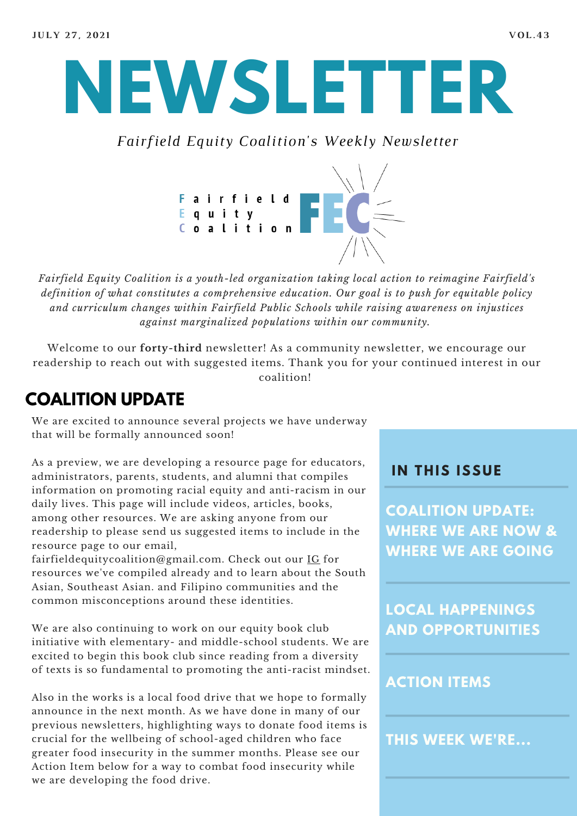

*Fairfield Equity Coalition's Weekly Newsletter*



*Fairfield Equity Coalition is a youth-led organization taking local action to reimagine Fairfield's definition of what constitutes a comprehensive education. Our goal is to push for equitable policy and curriculum changes within Fairfield Public Schools while raising awareness on injustices against marginalized populations within our community.*

Welcome to our **forty-third** newsletter! As a community newsletter, we encourage our readership to reach out with suggested items. Thank you for your continued interest in our coalition!

## **COALITION UPDATE**

We are excited to announce several projects we have underway that will be formally announced soon!

As a preview, we are developing a resource page for educators, administrators, parents, students, and alumni that compiles information on promoting racial equity and anti-racism in our daily lives. This page will include videos, articles, books, among other resources. We are asking anyone from our readership to please send us suggested items to include in the resource page to our email,

fairfieldequitycoalition@gmail.com. Check out our [IG](https://www.instagram.com/fairfieldequitycoalition/?hl=en) for resources we've compiled already and to learn about the South Asian, Southeast Asian. and Filipino communities and the common misconceptions around these identities.

We are also continuing to work on our equity book club initiative with elementary- and middle-school students. We are excited to begin this book club since reading from a diversity of texts is so fundamental to promoting the anti-racist mindset.

Also in the works is a local food drive that we hope to formally announce in the next month. As we have done in many of our previous newsletters, highlighting ways to donate food items is crucial for the wellbeing of school-aged children who face greater food insecurity in the summer months. Please see our Action Item below for a way to combat food insecurity while we are developing the food drive.

#### **I N THIS ISSUE**

**COALITION UPDATE: WHERE WE ARE NOW & WHERE WE ARE GOING**

**LOCAL HAPPENINGS AND OPPORTUNITIES**

#### **ACTION ITEMS**

**THIS WEEK WE'RE...**